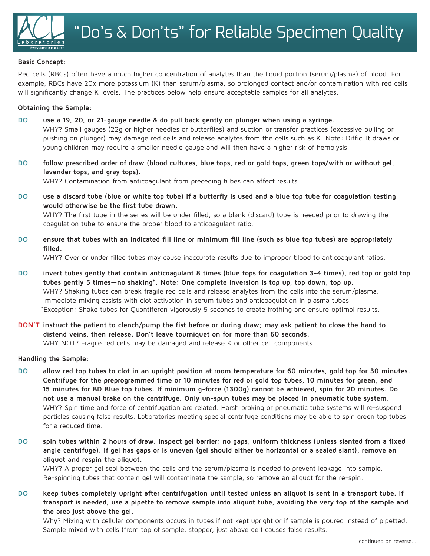## **Basic Concept:**

Red cells (RBCs) often have a much higher concentration of analytes than the liquid portion (serum/plasma) of blood. For example, RBCs have 20x more potassium (K) than serum/plasma, so prolonged contact and/or contamination with red cells will significantly change K levels. The practices below help ensure acceptable samples for all analytes.

## **Obtaining the Sample:**

- **DO use a 19, 20, or 21-gauge needle & do pull back gently on plunger when using a syringe.** WHY? Small gauges (22g or higher needles or butterflies) and suction or transfer practices (excessive pulling or pushing on plunger) may damage red cells and release analytes from the cells such as K. Note: Difficult draws or young children may require a smaller needle gauge and will then have a higher risk of hemolysis.
- **DO follow prescribed order of draw (blood cultures, blue tops, red or gold tops, green tops/with or without gel, lavender tops, and gray tops).**

WHY? Contamination from anticoagulant from preceding tubes can affect results.

- **DO use a discard tube (blue or white top tube) if a butterfly is used and a blue top tube for coagulation testing would otherwise be the first tube drawn.** WHY? The first tube in the series will be under filled, so a blank (discard) tube is needed prior to drawing the coagulation tube to ensure the proper blood to anticoagulant ratio.
- **DO ensure that tubes with an indicated fill line or minimum fill line (such as blue top tubes) are appropriately filled.**

WHY? Over or under filled tubes may cause inaccurate results due to improper blood to anticoagulant ratios.

- **DO invert tubes gently that contain anticoagulant 8 times (blue tops for coagulation 3-4 times), red top or gold top tubes gently 5 times—no shaking\*. Note: One complete inversion is top up, top down, top up.** WHY? Shaking tubes can break fragile red cells and release analytes from the cells into the serum/plasma. Immediate mixing assists with clot activation in serum tubes and anticoagulation in plasma tubes. \*Exception: Shake tubes for Quantiferon vigorously 5 seconds to create frothing and ensure optimal results.
- **DON'T instruct the patient to clench/pump the fist before or during draw; may ask patient to close the hand to distend veins, then release. Don't leave tourniquet on for more than 60 seconds.** WHY NOT? Fragile red cells may be damaged and release K or other cell components.

## **Handling the Sample:**

- **DO allow red top tubes to clot in an upright position at room temperature for 60 minutes, gold top for 30 minutes. Centrifuge for the preprogrammed time or 10 minutes for red or gold top tubes, 10 minutes for green, and 15 minutes for BD Blue top tubes. If minimum g-force (1300g) cannot be achieved, spin for 20 minutes. Do not use a manual brake on the centrifuge. Only un-spun tubes may be placed in pneumatic tube system.** WHY? Spin time and force of centrifugation are related. Harsh braking or pneumatic tube systems will re-suspend particles causing false results. Laboratories meeting special centrifuge conditions may be able to spin green top tubes for a reduced time.
- **DO spin tubes within 2 hours of draw. Inspect gel barrier: no gaps, uniform thickness (unless slanted from a fixed angle centrifuge). If gel has gaps or is uneven (gel should either be horizontal or a sealed slant), remove an aliquot and respin the aliquot.**

WHY? A proper gel seal between the cells and the serum/plasma is needed to prevent leakage into sample. Re-spinning tubes that contain gel will contaminate the sample, so remove an aliquot for the re-spin.

**DO keep tubes completely upright after centrifugation until tested unless an aliquot is sent in a transport tube. If transport is needed, use a pipette to remove sample into aliquot tube, avoiding the very top of the sample and the area just above the gel.**

Why? Mixing with cellular components occurs in tubes if not kept upright or if sample is poured instead of pipetted. Sample mixed with cells (from top of sample, stopper, just above gel) causes false results.